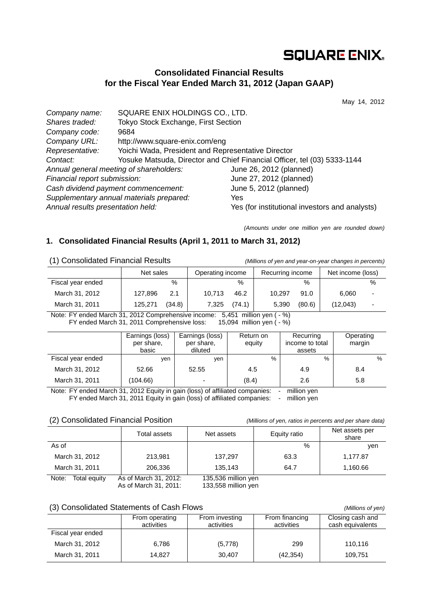# **SQUARE ENIX.**

## **Consolidated Financial Results for the Fiscal Year Ended March 31, 2012 (Japan GAAP)**

May 14, 2012

| 9684                                     |                                                                                                                             |
|------------------------------------------|-----------------------------------------------------------------------------------------------------------------------------|
| http://www.square-enix.com/eng           |                                                                                                                             |
|                                          |                                                                                                                             |
|                                          | Yosuke Matsuda, Director and Chief Financial Officer, tel (03) 5333-1144                                                    |
| Annual general meeting of shareholders:  | June 26, 2012 (planned)                                                                                                     |
| Financial report submission:             | June 27, 2012 (planned)                                                                                                     |
| Cash dividend payment commencement:      | June 5, 2012 (planned)                                                                                                      |
| Supplementary annual materials prepared: | Yes                                                                                                                         |
| Annual results presentation held:        | Yes (for institutional investors and analysts)                                                                              |
|                                          | SQUARE ENIX HOLDINGS CO., LTD.<br>Tokyo Stock Exchange, First Section<br>Yoichi Wada, President and Representative Director |

*(Amounts under one million yen are rounded down)* 

## **1. Consolidated Financial Results (April 1, 2011 to March 31, 2012)**

| (1) Consolidated Financial Results                                                  |         | (Millions of yen and year-on-year changes in percents) |        |               |                  |        |                   |   |
|-------------------------------------------------------------------------------------|---------|--------------------------------------------------------|--------|---------------|------------------|--------|-------------------|---|
|                                                                                     |         | Operating income<br>Net sales                          |        |               | Recurring income |        | Net income (loss) |   |
| Fiscal year ended                                                                   |         | $\%$                                                   |        | $\frac{0}{0}$ |                  | $\%$   |                   | % |
| March 31, 2012                                                                      | 127.896 | 2.1                                                    | 10.713 | 46.2          | 10.297           | 91.0   | 6.060             |   |
| March 31, 2011                                                                      | 125.271 | (34.8)                                                 | 7.325  | (74.1)        | 5.390            | (80.6) | (12,043)          |   |
| Note: EV anded March 31, 2012 Comprehensive income:<br>$5.151$ million van ( $-$ %) |         |                                                        |        |               |                  |        |                   |   |

Y ended March 31, 2012 Comprehensive income:  $5,451$  million yen ( $\frac{1}{2}$ FY ended March 31, 2011 Comprehensive loss: 15,094 million yen ( - %)

|                   | Earnings (loss)<br>per share,<br>basic | Earnings (loss)<br>per share,<br>diluted | Return on<br>equity | Recurring<br>income to total<br>assets | Operating<br>margin |
|-------------------|----------------------------------------|------------------------------------------|---------------------|----------------------------------------|---------------------|
| Fiscal year ended | ven                                    | ven                                      | $\%$                | $\%$                                   | $\frac{0}{0}$       |
| March 31, 2012    | 52.66                                  | 52.55                                    | 4.5                 | 4.9                                    | 8.4                 |
| March 31, 2011    | (104.66)                               | ٠                                        | (8.4)               | 2.6                                    | 5.8                 |

Note: FY ended March 31, 2012 Equity in gain (loss) of affiliated companies: - million yen FY ended March 31, 2011 Equity in gain (loss) of affiliated companies: - million yen

#### (2) Consolidated Financial Position *(Millions of yen, ratios in percents and per share data)*

|                       | Total assets                                   | Net assets                                   | Equity ratio | Net assets per<br>share |
|-----------------------|------------------------------------------------|----------------------------------------------|--------------|-------------------------|
| As of                 |                                                |                                              | $\%$         | ven                     |
| March 31, 2012        | 213,981                                        | 137,297                                      | 63.3         | 1,177.87                |
| March 31, 2011        | 206,336                                        | 135.143                                      | 64.7         | 1,160.66                |
| Note:<br>Total equity | As of March 31, 2012:<br>As of March 31 $2011$ | 135,536 million yen<br>$133.558$ million ven |              |                         |

As of March 31, 2011: 133,558 million yen

### (3) Consolidated Statements of Cash Flows *(Millions of yen)*

|                   | From operating<br>activities | From investing<br>activities | From financing<br>activities | Closing cash and<br>cash equivalents |
|-------------------|------------------------------|------------------------------|------------------------------|--------------------------------------|
| Fiscal year ended |                              |                              |                              |                                      |
| March 31, 2012    | 6,786                        | (5,778)                      | 299                          | 110,116                              |
| March 31, 2011    | 14.827                       | 30.407                       | (42, 354)                    | 109.751                              |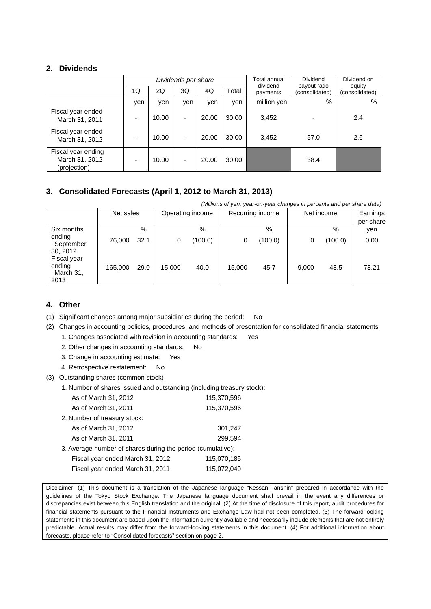### **2. Dividends**

|                                                      | Dividends per share |       |                          |       |       | Total annual<br>dividend | Dividend                       | Dividend on<br>equity |  |
|------------------------------------------------------|---------------------|-------|--------------------------|-------|-------|--------------------------|--------------------------------|-----------------------|--|
|                                                      | 1Q                  | 2Q    | 3Q                       | 4Q    | Total | payments                 | payout ratio<br>(consolidated) | (consolidated)        |  |
|                                                      | yen                 | yen   | yen                      | yen   | yen   | million yen              | $\%$                           | %                     |  |
| Fiscal year ended<br>March 31, 2011                  | -                   | 10.00 | ٠                        | 20.00 | 30.00 | 3,452                    |                                | 2.4                   |  |
| Fiscal year ended<br>March 31, 2012                  |                     | 10.00 |                          | 20.00 | 30.00 | 3,452                    | 57.0                           | 2.6                   |  |
| Fiscal year ending<br>March 31, 2012<br>(projection) |                     | 10.00 | $\overline{\phantom{a}}$ | 20.00 | 30.00 |                          | 38.4                           |                       |  |

## **3. Consolidated Forecasts (April 1, 2012 to March 31, 2013)**

|                                            | (Millions of yen, year-on-year changes in percents and per share data) |      |        |                  |        |                  |       |            |           |
|--------------------------------------------|------------------------------------------------------------------------|------|--------|------------------|--------|------------------|-------|------------|-----------|
|                                            | Net sales                                                              |      |        | Operating income |        | Recurring income |       | Net income |           |
|                                            |                                                                        |      |        |                  |        |                  |       |            | per share |
| Six months                                 |                                                                        | $\%$ |        | $\%$             |        | %                |       | $\%$       | yen       |
| ending<br>September<br>30, 2012            | 76,000                                                                 | 32.1 | 0      | (100.0)          | 0      | (100.0)          | 0     | (100.0)    | 0.00      |
| Fiscal year<br>ending<br>March 31,<br>2013 | 165,000                                                                | 29.0 | 15.000 | 40.0             | 15.000 | 45.7             | 9.000 | 48.5       | 78.21     |

## **4. Other**

(1) Significant changes among major subsidiaries during the period: No

(2) Changes in accounting policies, procedures, and methods of presentation for consolidated financial statements

1. Changes associated with revision in accounting standards: Yes

2. Other changes in accounting standards: No

3. Change in accounting estimate: Yes

4. Retrospective restatement: No

(3) Outstanding shares (common stock)

1. Number of shares issued and outstanding (including treasury stock):

| As of March 31, 2012                                        | 115,370,596 |
|-------------------------------------------------------------|-------------|
| As of March 31, 2011                                        | 115,370,596 |
| 2. Number of treasury stock:                                |             |
| As of March 31, 2012                                        | 301,247     |
| As of March 31, 2011                                        | 299.594     |
| 3. Average number of shares during the period (cumulative): |             |
| Fiscal year ended March 31, 2012                            | 115,070,185 |
| Fiscal year ended March 31, 2011                            | 115,072,040 |
|                                                             |             |

Disclaimer: (1) This document is a translation of the Japanese language "Kessan Tanshin" prepared in accordance with the guidelines of the Tokyo Stock Exchange. The Japanese language document shall prevail in the event any differences or discrepancies exist between this English translation and the original. (2) At the time of disclosure of this report, audit procedures for financial statements pursuant to the Financial Instruments and Exchange Law had not been completed. (3) The forward-looking statements in this document are based upon the information currently available and necessarily include elements that are not entirely predictable. Actual results may differ from the forward-looking statements in this document. (4) For additional information about forecasts, please refer to "Consolidated forecasts" section on page 2.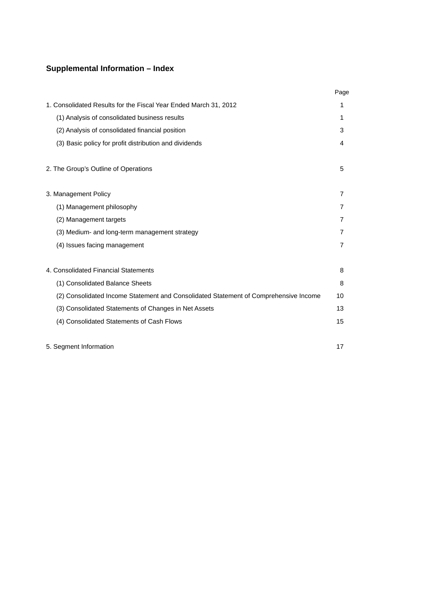## **Supplemental Information – Index**

|                                                                                      | Page           |
|--------------------------------------------------------------------------------------|----------------|
| 1. Consolidated Results for the Fiscal Year Ended March 31, 2012                     | 1              |
| (1) Analysis of consolidated business results                                        | 1              |
| (2) Analysis of consolidated financial position                                      | 3              |
| (3) Basic policy for profit distribution and dividends                               | 4              |
| 2. The Group's Outline of Operations                                                 | 5              |
| 3. Management Policy                                                                 | 7              |
| (1) Management philosophy                                                            | 7              |
| (2) Management targets                                                               | 7              |
| (3) Medium- and long-term management strategy                                        | 7              |
| (4) Issues facing management                                                         | $\overline{7}$ |
| 4. Consolidated Financial Statements                                                 | 8              |
| (1) Consolidated Balance Sheets                                                      | 8              |
| (2) Consolidated Income Statement and Consolidated Statement of Comprehensive Income | 10             |
| (3) Consolidated Statements of Changes in Net Assets                                 | 13             |
| (4) Consolidated Statements of Cash Flows                                            | 15             |
|                                                                                      |                |

5. Segment Information 17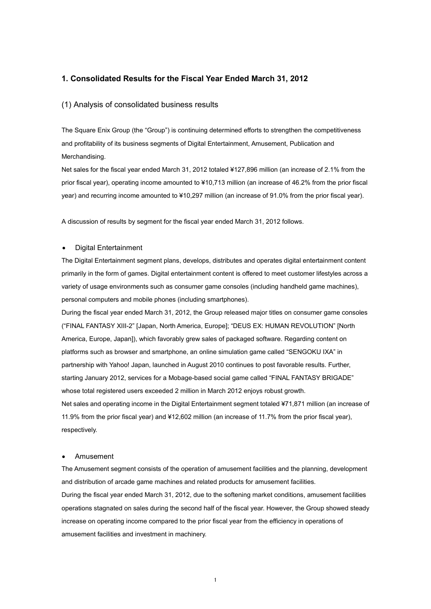#### **1. Consolidated Results for the Fiscal Year Ended March 31, 2012**

#### (1) Analysis of consolidated business results

The Square Enix Group (the "Group") is continuing determined efforts to strengthen the competitiveness and profitability of its business segments of Digital Entertainment, Amusement, Publication and Merchandising.

Net sales for the fiscal year ended March 31, 2012 totaled ¥127,896 million (an increase of 2.1% from the prior fiscal year), operating income amounted to ¥10,713 million (an increase of 46.2% from the prior fiscal year) and recurring income amounted to ¥10,297 million (an increase of 91.0% from the prior fiscal year).

A discussion of results by segment for the fiscal year ended March 31, 2012 follows.

#### • Digital Entertainment

The Digital Entertainment segment plans, develops, distributes and operates digital entertainment content primarily in the form of games. Digital entertainment content is offered to meet customer lifestyles across a variety of usage environments such as consumer game consoles (including handheld game machines), personal computers and mobile phones (including smartphones).

During the fiscal year ended March 31, 2012, the Group released major titles on consumer game consoles ("FINAL FANTASY XIII-2" [Japan, North America, Europe]; "DEUS EX: HUMAN REVOLUTION" [North America, Europe, Japan]), which favorably grew sales of packaged software. Regarding content on platforms such as browser and smartphone, an online simulation game called "SENGOKU IXA" in partnership with Yahoo! Japan, launched in August 2010 continues to post favorable results. Further, starting January 2012, services for a Mobage-based social game called "FINAL FANTASY BRIGADE" whose total registered users exceeded 2 million in March 2012 enjoys robust growth. Net sales and operating income in the Digital Entertainment segment totaled ¥71,871 million (an increase of 11.9% from the prior fiscal year) and ¥12,602 million (an increase of 11.7% from the prior fiscal year), respectively.

#### • Amusement

The Amusement segment consists of the operation of amusement facilities and the planning, development and distribution of arcade game machines and related products for amusement facilities. During the fiscal year ended March 31, 2012, due to the softening market conditions, amusement facilities operations stagnated on sales during the second half of the fiscal year. However, the Group showed steady increase on operating income compared to the prior fiscal year from the efficiency in operations of amusement facilities and investment in machinery.

1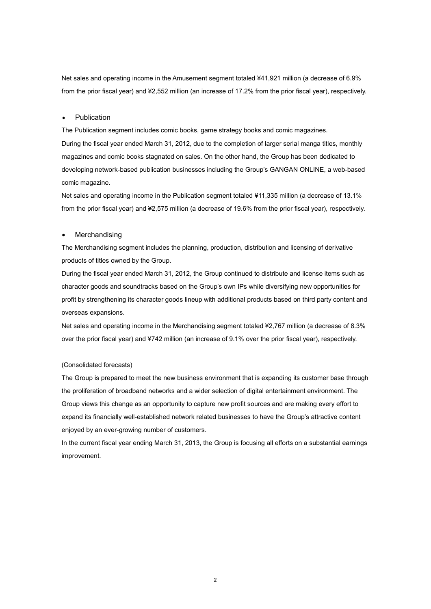Net sales and operating income in the Amusement segment totaled ¥41,921 million (a decrease of 6.9% from the prior fiscal year) and ¥2,552 million (an increase of 17.2% from the prior fiscal year), respectively.

#### **Publication**

The Publication segment includes comic books, game strategy books and comic magazines. During the fiscal year ended March 31, 2012, due to the completion of larger serial manga titles, monthly magazines and comic books stagnated on sales. On the other hand, the Group has been dedicated to developing network-based publication businesses including the Group's GANGAN ONLINE, a web-based comic magazine.

Net sales and operating income in the Publication segment totaled ¥11,335 million (a decrease of 13.1% from the prior fiscal year) and ¥2,575 million (a decrease of 19.6% from the prior fiscal year), respectively.

#### **Merchandising**

The Merchandising segment includes the planning, production, distribution and licensing of derivative products of titles owned by the Group.

During the fiscal year ended March 31, 2012, the Group continued to distribute and license items such as character goods and soundtracks based on the Group's own IPs while diversifying new opportunities for profit by strengthening its character goods lineup with additional products based on third party content and overseas expansions.

Net sales and operating income in the Merchandising segment totaled ¥2,767 million (a decrease of 8.3% over the prior fiscal year) and ¥742 million (an increase of 9.1% over the prior fiscal year), respectively.

#### (Consolidated forecasts)

The Group is prepared to meet the new business environment that is expanding its customer base through the proliferation of broadband networks and a wider selection of digital entertainment environment. The Group views this change as an opportunity to capture new profit sources and are making every effort to expand its financially well-established network related businesses to have the Group's attractive content enjoyed by an ever-growing number of customers.

In the current fiscal year ending March 31, 2013, the Group is focusing all efforts on a substantial earnings improvement.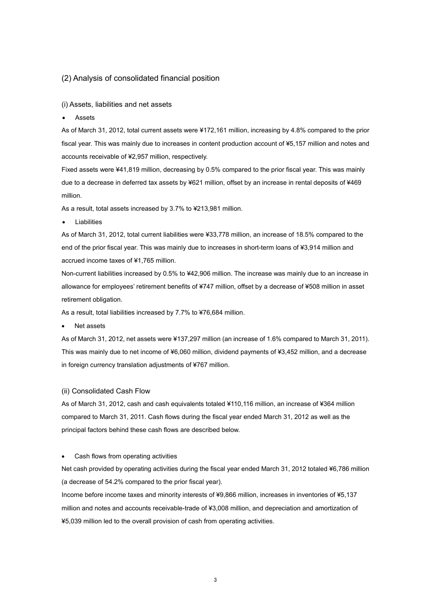#### (2) Analysis of consolidated financial position

#### (i) Assets, liabilities and net assets

**Assets** 

As of March 31, 2012, total current assets were ¥172,161 million, increasing by 4.8% compared to the prior fiscal year. This was mainly due to increases in content production account of ¥5,157 million and notes and accounts receivable of ¥2,957 million, respectively.

Fixed assets were ¥41,819 million, decreasing by 0.5% compared to the prior fiscal year. This was mainly due to a decrease in deferred tax assets by ¥621 million, offset by an increase in rental deposits of ¥469 million.

As a result, total assets increased by 3.7% to ¥213,981 million.

**Liabilities** 

As of March 31, 2012, total current liabilities were ¥33,778 million, an increase of 18.5% compared to the end of the prior fiscal year. This was mainly due to increases in short-term loans of ¥3,914 million and accrued income taxes of ¥1,765 million.

Non-current liabilities increased by 0.5% to ¥42,906 million. The increase was mainly due to an increase in allowance for employees' retirement benefits of ¥747 million, offset by a decrease of ¥508 million in asset retirement obligation.

As a result, total liabilities increased by 7.7% to ¥76,684 million.

• Net assets

As of March 31, 2012, net assets were ¥137,297 million (an increase of 1.6% compared to March 31, 2011). This was mainly due to net income of ¥6,060 million, dividend payments of ¥3,452 million, and a decrease in foreign currency translation adjustments of ¥767 million.

#### (ii) Consolidated Cash Flow

As of March 31, 2012, cash and cash equivalents totaled ¥110,116 million, an increase of ¥364 million compared to March 31, 2011. Cash flows during the fiscal year ended March 31, 2012 as well as the principal factors behind these cash flows are described below.

#### • Cash flows from operating activities

Net cash provided by operating activities during the fiscal year ended March 31, 2012 totaled ¥6,786 million (a decrease of 54.2% compared to the prior fiscal year).

Income before income taxes and minority interests of ¥9,866 million, increases in inventories of ¥5,137 million and notes and accounts receivable-trade of ¥3,008 million, and depreciation and amortization of ¥5,039 million led to the overall provision of cash from operating activities.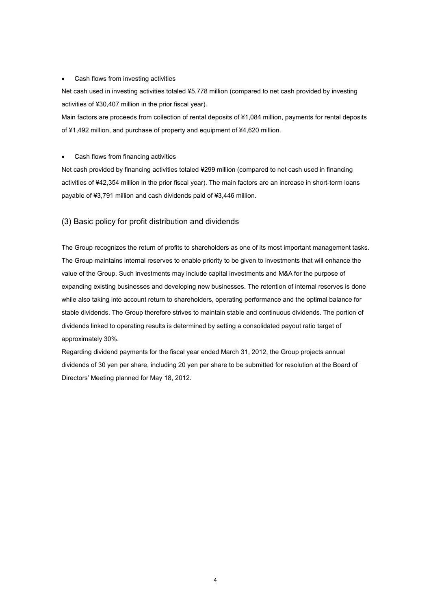#### • Cash flows from investing activities

Net cash used in investing activities totaled ¥5,778 million (compared to net cash provided by investing activities of ¥30,407 million in the prior fiscal year).

Main factors are proceeds from collection of rental deposits of ¥1,084 million, payments for rental deposits of ¥1,492 million, and purchase of property and equipment of ¥4,620 million.

#### • Cash flows from financing activities

Net cash provided by financing activities totaled ¥299 million (compared to net cash used in financing activities of ¥42,354 million in the prior fiscal year). The main factors are an increase in short-term loans payable of ¥3,791 million and cash dividends paid of ¥3,446 million.

#### (3) Basic policy for profit distribution and dividends

The Group recognizes the return of profits to shareholders as one of its most important management tasks. The Group maintains internal reserves to enable priority to be given to investments that will enhance the value of the Group. Such investments may include capital investments and M&A for the purpose of expanding existing businesses and developing new businesses. The retention of internal reserves is done while also taking into account return to shareholders, operating performance and the optimal balance for stable dividends. The Group therefore strives to maintain stable and continuous dividends. The portion of dividends linked to operating results is determined by setting a consolidated payout ratio target of approximately 30%.

Regarding dividend payments for the fiscal year ended March 31, 2012, the Group projects annual dividends of 30 yen per share, including 20 yen per share to be submitted for resolution at the Board of Directors' Meeting planned for May 18, 2012.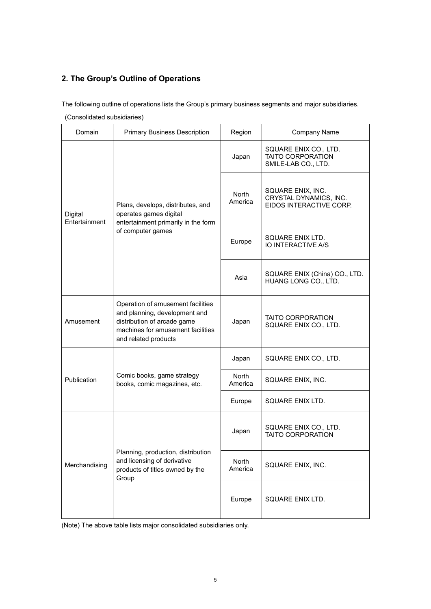## **2. The Group's Outline of Operations**

The following outline of operations lists the Group's primary business segments and major subsidiaries.

| Domain                   | <b>Primary Business Description</b>                                                                                                                            | Region           | Company Name                                                             |
|--------------------------|----------------------------------------------------------------------------------------------------------------------------------------------------------------|------------------|--------------------------------------------------------------------------|
|                          |                                                                                                                                                                | Japan            | SQUARE ENIX CO., LTD.<br><b>TAITO CORPORATION</b><br>SMILE-LAB CO., LTD. |
| Digital<br>Entertainment | Plans, develops, distributes, and<br>operates games digital<br>entertainment primarily in the form                                                             | North<br>America | SQUARE ENIX, INC.<br>CRYSTAL DYNAMICS, INC.<br>EIDOS INTERACTIVE CORP.   |
|                          | of computer games                                                                                                                                              | Europe           | SQUARE ENIX LTD.<br><b>IO INTERACTIVE A/S</b>                            |
|                          |                                                                                                                                                                | Asia             | SQUARE ENIX (China) CO., LTD.<br>HUANG LONG CO., LTD.                    |
| Amusement                | Operation of amusement facilities<br>and planning, development and<br>distribution of arcade game<br>machines for amusement facilities<br>and related products | Japan            | <b>TAITO CORPORATION</b><br>SQUARE ENIX CO., LTD.                        |
|                          |                                                                                                                                                                | Japan            | SQUARE ENIX CO., LTD.                                                    |
| Publication              | Comic books, game strategy<br>books, comic magazines, etc.                                                                                                     | North<br>America | SQUARE ENIX, INC.                                                        |
|                          |                                                                                                                                                                | Europe           | SQUARE ENIX LTD.                                                         |
|                          |                                                                                                                                                                | Japan            | SQUARE ENIX CO., LTD.<br><b>TAITO CORPORATION</b>                        |
| Merchandising            | Planning, production, distribution<br>and licensing of derivative<br>products of titles owned by the<br>Group                                                  | North<br>America | SQUARE ENIX, INC.                                                        |
|                          |                                                                                                                                                                | Europe           | SQUARE ENIX LTD.                                                         |

(Note) The above table lists major consolidated subsidiaries only.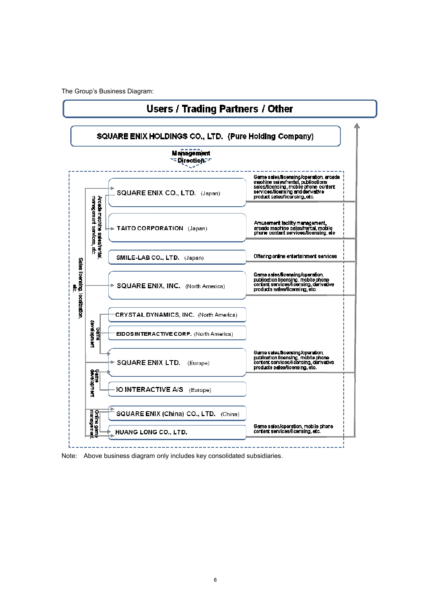The Group's Business Diagram:



Note: Above business diagram only includes key consolidated subsidiaries.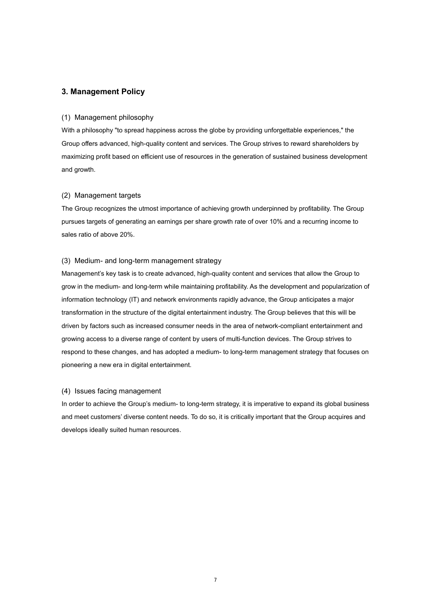#### **3. Management Policy**

#### (1) Management philosophy

With a philosophy "to spread happiness across the globe by providing unforgettable experiences," the Group offers advanced, high-quality content and services. The Group strives to reward shareholders by maximizing profit based on efficient use of resources in the generation of sustained business development and growth.

#### (2) Management targets

The Group recognizes the utmost importance of achieving growth underpinned by profitability. The Group pursues targets of generating an earnings per share growth rate of over 10% and a recurring income to sales ratio of above 20%.

#### (3) Medium- and long-term management strategy

Management's key task is to create advanced, high-quality content and services that allow the Group to grow in the medium- and long-term while maintaining profitability. As the development and popularization of information technology (IT) and network environments rapidly advance, the Group anticipates a major transformation in the structure of the digital entertainment industry. The Group believes that this will be driven by factors such as increased consumer needs in the area of network-compliant entertainment and growing access to a diverse range of content by users of multi-function devices. The Group strives to respond to these changes, and has adopted a medium- to long-term management strategy that focuses on pioneering a new era in digital entertainment.

#### (4) Issues facing management

In order to achieve the Group's medium- to long-term strategy, it is imperative to expand its global business and meet customers' diverse content needs. To do so, it is critically important that the Group acquires and develops ideally suited human resources.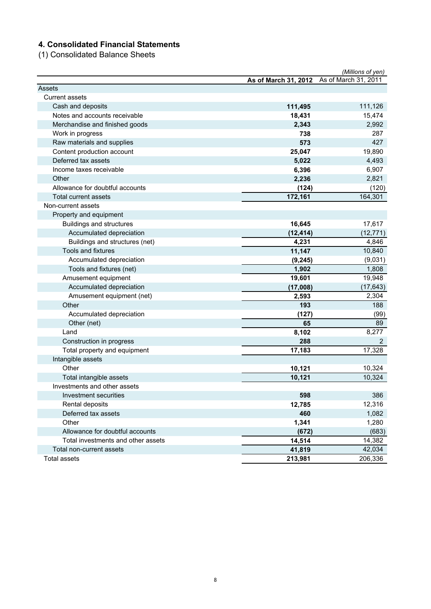## **4. Consolidated Financial Statements**

(1) Consolidated Balance Sheets

|                                    |                                           | (Millions of yen) |
|------------------------------------|-------------------------------------------|-------------------|
|                                    | As of March 31, 2012 As of March 31, 2011 |                   |
| Assets                             |                                           |                   |
| <b>Current assets</b>              |                                           |                   |
| Cash and deposits                  | 111,495                                   | 111,126           |
| Notes and accounts receivable      | 18,431                                    | 15,474            |
| Merchandise and finished goods     | 2,343                                     | 2,992             |
| Work in progress                   | 738                                       | 287               |
| Raw materials and supplies         | 573                                       | 427               |
| Content production account         | 25,047                                    | 19,890            |
| Deferred tax assets                | 5,022                                     | 4,493             |
| Income taxes receivable            | 6,396                                     | 6,907             |
| Other                              | 2,236                                     | 2,821             |
| Allowance for doubtful accounts    | (124)                                     | (120)             |
| Total current assets               | 172,161                                   | 164,301           |
| Non-current assets                 |                                           |                   |
| Property and equipment             |                                           |                   |
| <b>Buildings and structures</b>    | 16,645                                    | 17,617            |
| Accumulated depreciation           | (12, 414)                                 | (12, 771)         |
| Buildings and structures (net)     | 4,231                                     | 4,846             |
| <b>Tools and fixtures</b>          | 11,147                                    | 10,840            |
| Accumulated depreciation           | (9, 245)                                  | (9,031)           |
| Tools and fixtures (net)           | 1,902                                     | 1,808             |
| Amusement equipment                | 19,601                                    | 19,948            |
| Accumulated depreciation           | (17,008)                                  | (17, 643)         |
| Amusement equipment (net)          | 2,593                                     | 2,304             |
| Other                              | 193                                       | 188               |
| Accumulated depreciation           | (127)                                     | (99)              |
| Other (net)                        | 65                                        | 89                |
| Land                               | 8,102                                     | 8,277             |
| Construction in progress           | 288                                       | 2                 |
| Total property and equipment       | 17,183                                    | 17,328            |
| Intangible assets                  |                                           |                   |
| Other                              | 10,121                                    | 10,324            |
| Total intangible assets            | 10,121                                    | 10,324            |
| Investments and other assets       |                                           |                   |
| Investment securities              | 598                                       | 386               |
| Rental deposits                    | 12,785                                    | 12,316            |
| Deferred tax assets                | 460                                       | 1,082             |
| Other                              | 1,341                                     | 1,280             |
| Allowance for doubtful accounts    | (672)                                     | (683)             |
| Total investments and other assets | 14,514                                    | 14,382            |
| Total non-current assets           | 41,819                                    | 42,034            |
| <b>Total assets</b>                | 213,981                                   | 206,336           |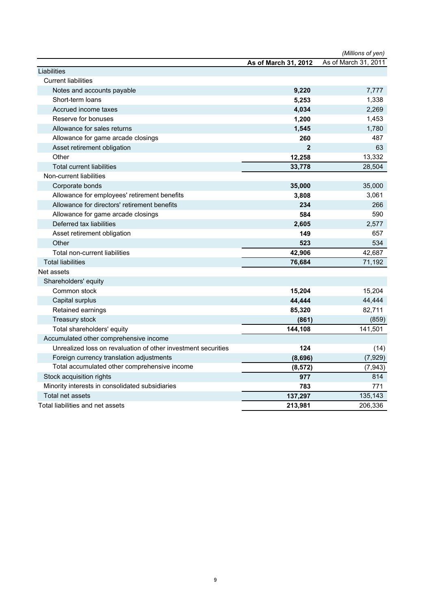|                                                               |                      | (Millions of yen)    |
|---------------------------------------------------------------|----------------------|----------------------|
|                                                               | As of March 31, 2012 | As of March 31, 2011 |
| Liabilities                                                   |                      |                      |
| <b>Current liabilities</b>                                    |                      |                      |
| Notes and accounts payable                                    | 9,220                | 7,777                |
| Short-term loans                                              | 5,253                | 1,338                |
| Accrued income taxes                                          | 4,034                | 2,269                |
| Reserve for bonuses                                           | 1,200                | 1,453                |
| Allowance for sales returns                                   | 1,545                | 1,780                |
| Allowance for game arcade closings                            | 260                  | 487                  |
| Asset retirement obligation                                   | $\overline{2}$       | 63                   |
| Other                                                         | 12,258               | 13,332               |
| <b>Total current liabilities</b>                              | 33,778               | 28,504               |
| Non-current liabilities                                       |                      |                      |
| Corporate bonds                                               | 35,000               | 35,000               |
| Allowance for employees' retirement benefits                  | 3,808                | 3,061                |
| Allowance for directors' retirement benefits                  | 234                  | 266                  |
| Allowance for game arcade closings                            | 584                  | 590                  |
| Deferred tax liabilities                                      | 2,605                | 2,577                |
| Asset retirement obligation                                   | 149                  | 657                  |
| Other                                                         | 523                  | 534                  |
| Total non-current liabilities                                 | 42,906               | 42,687               |
| <b>Total liabilities</b>                                      | 76,684               | 71,192               |
| Net assets                                                    |                      |                      |
| Shareholders' equity                                          |                      |                      |
| Common stock                                                  | 15,204               | 15,204               |
| Capital surplus                                               | 44,444               | 44,444               |
| Retained earnings                                             | 85,320               | 82,711               |
| Treasury stock                                                | (861)                | (859)                |
| Total shareholders' equity                                    | 144,108              | 141,501              |
| Accumulated other comprehensive income                        |                      |                      |
| Unrealized loss on revaluation of other investment securities | 124                  | (14)                 |
| Foreign currency translation adjustments                      | (8,696)              | (7, 929)             |
| Total accumulated other comprehensive income                  | (8, 572)             | (7, 943)             |
| Stock acquisition rights                                      | 977                  | 814                  |
| Minority interests in consolidated subsidiaries               | 783                  | 771                  |
| Total net assets                                              | 137,297              | 135,143              |
| Total liabilities and net assets                              | 213,981              | 206,336              |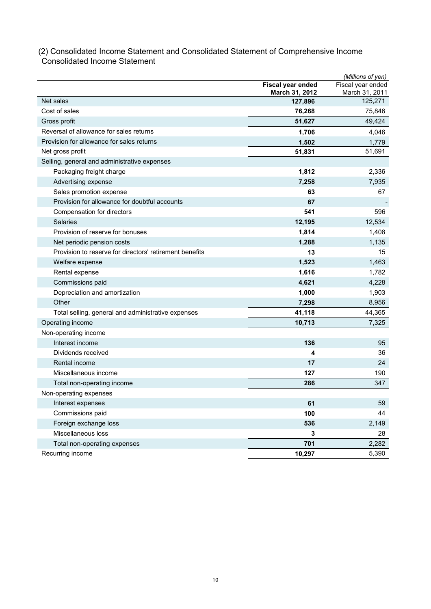## (2) Consolidated Income Statement and Consolidated Statement of Comprehensive Income Consolidated Income Statement

|                                                         |                           | (Millions of yen)         |
|---------------------------------------------------------|---------------------------|---------------------------|
|                                                         | Fiscal year ended         | Fiscal year ended         |
| Net sales                                               | March 31, 2012<br>127,896 | March 31, 2011<br>125,271 |
| Cost of sales                                           | 76,268                    | 75,846                    |
| Gross profit                                            | 51,627                    | 49,424                    |
| Reversal of allowance for sales returns                 | 1,706                     | 4,046                     |
| Provision for allowance for sales returns               | 1,502                     | 1,779                     |
| Net gross profit                                        | 51,831                    | 51,691                    |
| Selling, general and administrative expenses            |                           |                           |
| Packaging freight charge                                | 1,812                     | 2,336                     |
| Advertising expense                                     | 7,258                     | 7,935                     |
| Sales promotion expense                                 | 63                        | 67                        |
| Provision for allowance for doubtful accounts           | 67                        |                           |
| Compensation for directors                              | 541                       | 596                       |
| <b>Salaries</b>                                         | 12,195                    | 12,534                    |
| Provision of reserve for bonuses                        | 1,814                     | 1,408                     |
| Net periodic pension costs                              | 1,288                     | 1,135                     |
| Provision to reserve for directors' retirement benefits | 13                        | 15                        |
| Welfare expense                                         | 1,523                     | 1,463                     |
| Rental expense                                          | 1,616                     | 1,782                     |
| Commissions paid                                        | 4,621                     | 4,228                     |
| Depreciation and amortization                           | 1,000                     | 1,903                     |
| Other                                                   | 7,298                     | 8,956                     |
| Total selling, general and administrative expenses      | 41,118                    | 44,365                    |
| Operating income                                        | 10,713                    | 7,325                     |
| Non-operating income                                    |                           |                           |
| Interest income                                         | 136                       | 95                        |
| Dividends received                                      | 4                         | 36                        |
| Rental income                                           | 17                        | 24                        |
| Miscellaneous income                                    | 127                       | 190                       |
| Total non-operating income                              | 286                       | 347                       |
| Non-operating expenses                                  |                           |                           |
| Interest expenses                                       | 61                        | 59                        |
| Commissions paid                                        | 100                       | 44                        |
| Foreign exchange loss                                   | 536                       | 2,149                     |
| Miscellaneous loss                                      | 3                         | 28                        |
| Total non-operating expenses                            | 701                       | 2,282                     |
| Recurring income                                        | 10,297                    | 5,390                     |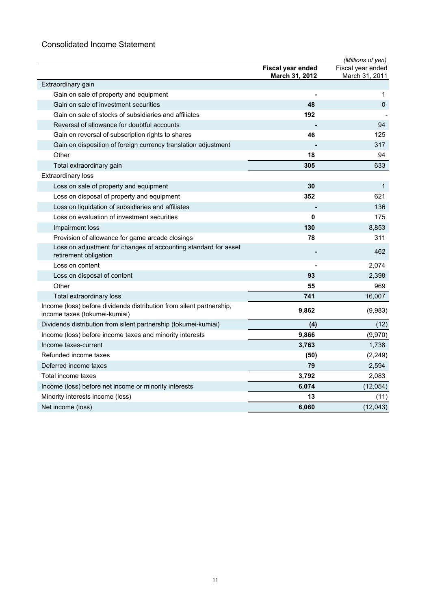## Consolidated Income Statement

|                                                                                                       |                                     | (Millions of yen)                   |
|-------------------------------------------------------------------------------------------------------|-------------------------------------|-------------------------------------|
|                                                                                                       | Fiscal year ended<br>March 31, 2012 | Fiscal year ended<br>March 31, 2011 |
| Extraordinary gain                                                                                    |                                     |                                     |
| Gain on sale of property and equipment                                                                |                                     | 1                                   |
| Gain on sale of investment securities                                                                 | 48                                  | $\mathbf 0$                         |
| Gain on sale of stocks of subsidiaries and affiliates                                                 | 192                                 |                                     |
| Reversal of allowance for doubtful accounts                                                           |                                     | 94                                  |
| Gain on reversal of subscription rights to shares                                                     | 46                                  | 125                                 |
| Gain on disposition of foreign currency translation adjustment                                        |                                     | 317                                 |
| Other                                                                                                 | 18                                  | 94                                  |
| Total extraordinary gain                                                                              | 305                                 | 633                                 |
| <b>Extraordinary loss</b>                                                                             |                                     |                                     |
| Loss on sale of property and equipment                                                                | 30                                  | $\mathbf{1}$                        |
| Loss on disposal of property and equipment                                                            | 352                                 | 621                                 |
| Loss on liquidation of subsidiaries and affiliates                                                    |                                     | 136                                 |
| Loss on evaluation of investment securities                                                           | 0                                   | 175                                 |
| Impairment loss                                                                                       | 130                                 | 8,853                               |
| Provision of allowance for game arcade closings                                                       | 78                                  | 311                                 |
| Loss on adjustment for changes of accounting standard for asset<br>retirement obligation              |                                     | 462                                 |
| Loss on content                                                                                       |                                     | 2,074                               |
| Loss on disposal of content                                                                           | 93                                  | 2,398                               |
| Other                                                                                                 | 55                                  | 969                                 |
| Total extraordinary loss                                                                              | 741                                 | 16,007                              |
| Income (loss) before dividends distribution from silent partnership,<br>income taxes (tokumei-kumiai) | 9,862                               | (9,983)                             |
| Dividends distribution from silent partnership (tokumei-kumiai)                                       | (4)                                 | (12)                                |
| Income (loss) before income taxes and minority interests                                              | 9,866                               | (9,970)                             |
| Income taxes-current                                                                                  | 3,763                               | 1,738                               |
| Refunded income taxes                                                                                 | (50)                                | (2, 249)                            |
| Deferred income taxes                                                                                 | 79                                  | 2,594                               |
| Total income taxes                                                                                    | 3,792                               | 2,083                               |
| Income (loss) before net income or minority interests                                                 | 6,074                               | (12,054)                            |
| Minority interests income (loss)                                                                      | 13                                  | (11)                                |
| Net income (loss)                                                                                     | 6,060                               | (12, 043)                           |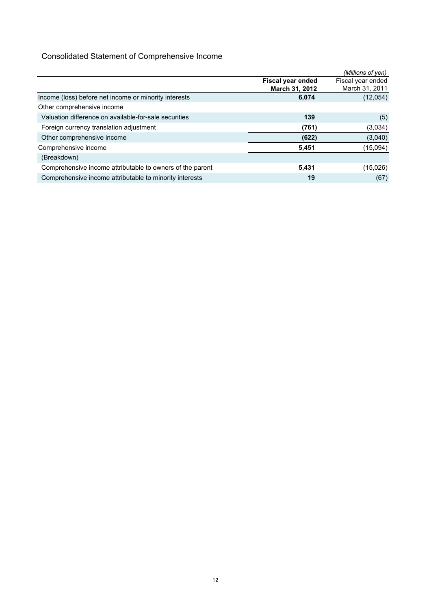## Consolidated Statement of Comprehensive Income

|                                                           |                   | (Millions of yen) |
|-----------------------------------------------------------|-------------------|-------------------|
|                                                           | Fiscal year ended | Fiscal year ended |
|                                                           | March 31, 2012    | March 31, 2011    |
| Income (loss) before net income or minority interests     | 6,074             | (12,054)          |
| Other comprehensive income                                |                   |                   |
| Valuation difference on available-for-sale securities     | 139               | (5)               |
| Foreign currency translation adjustment                   | (761)             | (3,034)           |
| Other comprehensive income                                | (622)             | (3,040)           |
| Comprehensive income                                      | 5,451             | (15,094)          |
| (Breakdown)                                               |                   |                   |
| Comprehensive income attributable to owners of the parent | 5,431             | (15,026)          |
| Comprehensive income attributable to minority interests   | 19                | (67)              |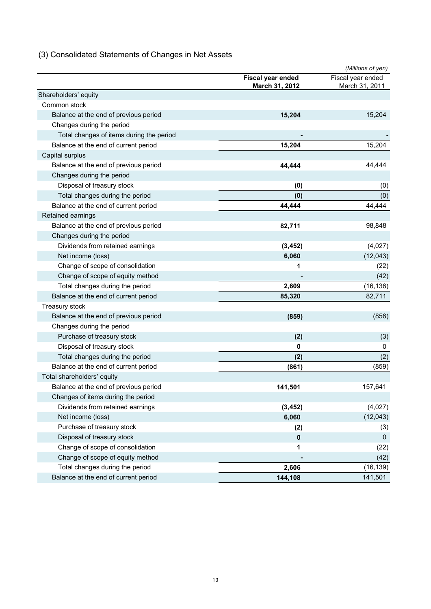## (3) Consolidated Statements of Changes in Net Assets

|                                          |                                            | (Millions of yen)                   |
|------------------------------------------|--------------------------------------------|-------------------------------------|
|                                          | Fiscal year ended<br><b>March 31, 2012</b> | Fiscal year ended<br>March 31, 2011 |
| Shareholders' equity                     |                                            |                                     |
| Common stock                             |                                            |                                     |
| Balance at the end of previous period    | 15,204                                     | 15,204                              |
| Changes during the period                |                                            |                                     |
| Total changes of items during the period |                                            |                                     |
| Balance at the end of current period     | 15,204                                     | 15,204                              |
| Capital surplus                          |                                            |                                     |
| Balance at the end of previous period    | 44,444                                     | 44,444                              |
| Changes during the period                |                                            |                                     |
| Disposal of treasury stock               | (0)                                        | (0)                                 |
| Total changes during the period          | (0)                                        | (0)                                 |
| Balance at the end of current period     | 44,444                                     | 44,444                              |
| Retained earnings                        |                                            |                                     |
| Balance at the end of previous period    | 82,711                                     | 98,848                              |
| Changes during the period                |                                            |                                     |
| Dividends from retained earnings         | (3, 452)                                   | (4,027)                             |
| Net income (loss)                        | 6,060                                      | (12,043)                            |
| Change of scope of consolidation         | 1                                          | (22)                                |
| Change of scope of equity method         |                                            | (42)                                |
| Total changes during the period          | 2,609                                      | (16, 136)                           |
| Balance at the end of current period     | 85,320                                     | 82,711                              |
| Treasury stock                           |                                            |                                     |
| Balance at the end of previous period    | (859)                                      | (856)                               |
| Changes during the period                |                                            |                                     |
| Purchase of treasury stock               | (2)                                        | (3)                                 |
| Disposal of treasury stock               | 0                                          | 0                                   |
| Total changes during the period          | (2)                                        | (2)                                 |
| Balance at the end of current period     | (861)                                      | (859)                               |
| Total shareholders' equity               |                                            |                                     |
| Balance at the end of previous period    | 141,501                                    | 157,641                             |
| Changes of items during the period       |                                            |                                     |
| Dividends from retained earnings         | (3, 452)                                   | (4,027)                             |
| Net income (loss)                        | 6,060                                      | (12,043)                            |
| Purchase of treasury stock               | (2)                                        | (3)                                 |
| Disposal of treasury stock               | $\pmb{0}$                                  | 0                                   |
| Change of scope of consolidation         | 1                                          | (22)                                |
| Change of scope of equity method         |                                            | (42)                                |
| Total changes during the period          | 2,606                                      | (16, 139)                           |
| Balance at the end of current period     | 144,108                                    | 141,501                             |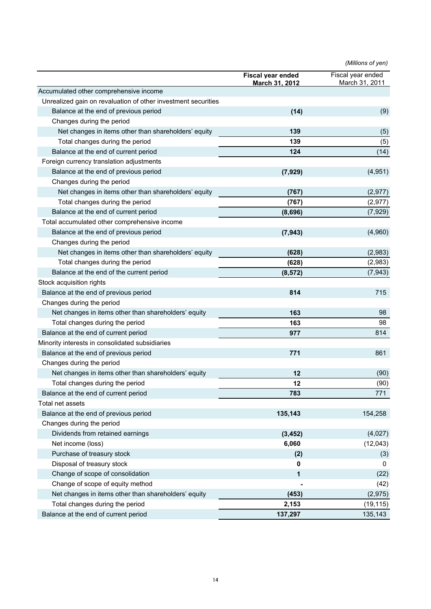*(Millions of yen)*

|                                                               | <b>Fiscal year ended</b><br><u>March 31, 2012</u> | Fiscal year ended<br>March 31, 2011 |
|---------------------------------------------------------------|---------------------------------------------------|-------------------------------------|
| Accumulated other comprehensive income                        |                                                   |                                     |
| Unrealized gain on revaluation of other investment securities |                                                   |                                     |
| Balance at the end of previous period                         | (14)                                              | (9)                                 |
| Changes during the period                                     |                                                   |                                     |
| Net changes in items other than shareholders' equity          | 139                                               | (5)                                 |
| Total changes during the period                               | 139                                               | (5)                                 |
| Balance at the end of current period                          | 124                                               | (14)                                |
| Foreign currency translation adjustments                      |                                                   |                                     |
| Balance at the end of previous period                         | (7, 929)                                          | (4,951)                             |
| Changes during the period                                     |                                                   |                                     |
| Net changes in items other than shareholders' equity          | (767)                                             | (2,977)                             |
| Total changes during the period                               | (767)                                             | (2, 977)                            |
| Balance at the end of current period                          | (8,696)                                           | (7,929)                             |
| Total accumulated other comprehensive income                  |                                                   |                                     |
| Balance at the end of previous period                         | (7, 943)                                          | (4,960)                             |
| Changes during the period                                     |                                                   |                                     |
| Net changes in items other than shareholders' equity          | (628)                                             | (2,983)                             |
| Total changes during the period                               | (628)                                             | (2,983)                             |
| Balance at the end of the current period                      | (8, 572)                                          | (7, 943)                            |
| Stock acquisition rights                                      |                                                   |                                     |
| Balance at the end of previous period                         | 814                                               | 715                                 |
| Changes during the period                                     |                                                   |                                     |
| Net changes in items other than shareholders' equity          | 163                                               | 98                                  |
| Total changes during the period                               | 163                                               | 98                                  |
| Balance at the end of current period                          | 977                                               | 814                                 |
| Minority interests in consolidated subsidiaries               |                                                   |                                     |
| Balance at the end of previous period                         | 771                                               | 861                                 |
| Changes during the period                                     |                                                   |                                     |
| Net changes in items other than shareholders' equity          | 12                                                | (90)                                |
| Total changes during the period                               | 12                                                | (90)                                |
| Balance at the end of current period                          | 783                                               | 771                                 |
| Total net assets                                              |                                                   |                                     |
| Balance at the end of previous period                         | 135,143                                           | 154,258                             |
| Changes during the period                                     |                                                   |                                     |
| Dividends from retained earnings                              | (3, 452)                                          | (4,027)                             |
| Net income (loss)                                             | 6,060                                             | (12,043)                            |
| Purchase of treasury stock                                    | (2)                                               | (3)                                 |
| Disposal of treasury stock                                    | 0                                                 | 0                                   |
| Change of scope of consolidation                              | 1                                                 | (22)                                |
| Change of scope of equity method                              |                                                   | (42)                                |
| Net changes in items other than shareholders' equity          | (453)                                             | (2,975)                             |
| Total changes during the period                               | 2,153                                             | (19, 115)                           |
| Balance at the end of current period                          | 137,297                                           | 135,143                             |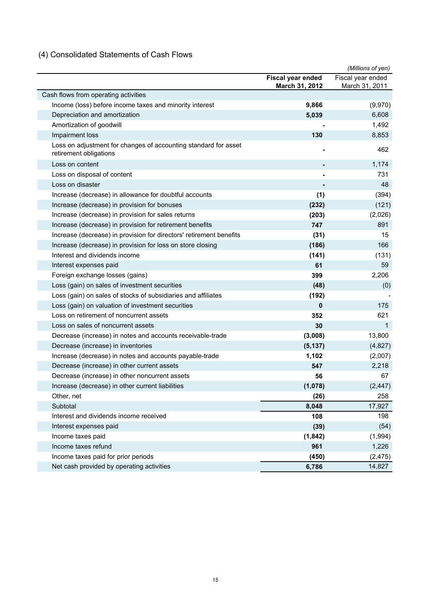## (4) Consolidated Statements of Cash Flows

|                                                                                           |                       | (Millions of yen) |
|-------------------------------------------------------------------------------------------|-----------------------|-------------------|
|                                                                                           | Fiscal year ended     | Fiscal year ended |
|                                                                                           | <b>March 31, 2012</b> | March 31, 2011    |
| Cash flows from operating activities                                                      |                       |                   |
| Income (loss) before income taxes and minority interest                                   | 9,866                 | (9,970)           |
| Depreciation and amortization                                                             | 5,039                 | 6,608             |
| Amortization of goodwill                                                                  |                       | 1,492             |
| Impairment loss                                                                           | 130                   | 8,853             |
| Loss on adjustment for changes of accounting standard for asset<br>retirement obligations |                       | 462               |
| Loss on content                                                                           |                       | 1,174             |
| Loss on disposal of content                                                               |                       | 731               |
| Loss on disaster                                                                          |                       | 48                |
| Increase (decrease) in allowance for doubtful accounts                                    | (1)                   | (394)             |
| Increase (decrease) in provision for bonuses                                              | (232)                 | (121)             |
| Increase (decrease) in provision for sales returns                                        | (203)                 | (2,026)           |
| Increase (decrease) in provision for retirement benefits                                  | 747                   | 891               |
| Increase (decrease) in provision for directors' retirement benefits                       | (31)                  | 15                |
| Increase (decrease) in provision for loss on store closing                                | (186)                 | 166               |
| Interest and dividends income                                                             | (141)                 | (131)             |
| Interest expenses paid                                                                    | 61                    | 59                |
| Foreign exchange losses (gains)                                                           | 399                   | 2,206             |
| Loss (gain) on sales of investment securities                                             | (48)                  | (0)               |
| Loss (gain) on sales of stocks of subsidiaries and affiliates                             | (192)                 |                   |
| Loss (gain) on valuation of investment securities                                         | 0                     | 175               |
| Loss on retirement of noncurrent assets                                                   | 352                   | 621               |
| Loss on sales of noncurrent assets                                                        | 30                    | $\mathbf 1$       |
| Decrease (increase) in notes and accounts receivable-trade                                | (3,008)               | 13,800            |
| Decrease (increase) in inventories                                                        | (5, 137)              | (4,827)           |
| Increase (decrease) in notes and accounts payable-trade                                   | 1,102                 | (2,007)           |
| Decrease (increase) in other current assets                                               | 547                   | 2,218             |
| Decrease (increase) in other noncurrent assets                                            | 56                    | 67                |
| Increase (decrease) in other current liabilities                                          | (1,078)               | (2, 447)          |
| Other, net                                                                                | (26)                  | 258               |
| Subtotal                                                                                  | 8,048                 | 17,927            |
| Interest and dividends income received                                                    | 108                   | 198               |
| Interest expenses paid                                                                    | (39)                  | (54)              |
| Income taxes paid                                                                         | (1, 842)              | (1,994)           |
| Income taxes refund                                                                       | 961                   | 1,226             |
| Income taxes paid for prior periods                                                       | (450)                 | (2, 475)          |
| Net cash provided by operating activities                                                 | 6,786                 | 14,827            |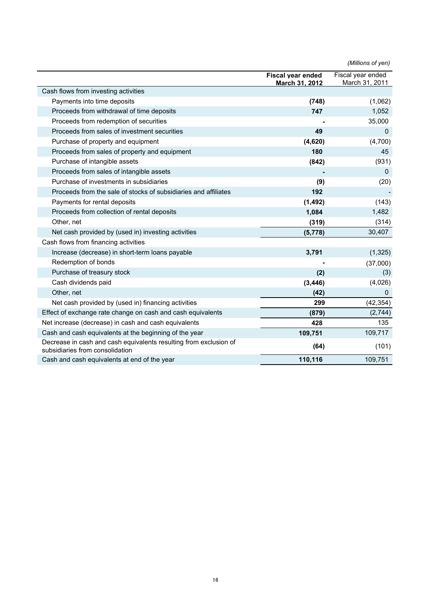|                                                                                                      |                                                   | (Millions of yen)                   |
|------------------------------------------------------------------------------------------------------|---------------------------------------------------|-------------------------------------|
|                                                                                                      | <b>Fiscal year ended</b><br><b>March 31, 2012</b> | Fiscal year ended<br>March 31, 2011 |
| Cash flows from investing activities                                                                 |                                                   |                                     |
| Payments into time deposits                                                                          | (748)                                             | (1,062)                             |
| Proceeds from withdrawal of time deposits                                                            | 747                                               | 1,052                               |
| Proceeds from redemption of securities                                                               |                                                   | 35,000                              |
| Proceeds from sales of investment securities                                                         | 49                                                | $\mathbf 0$                         |
| Purchase of property and equipment                                                                   | (4,620)                                           | (4,700)                             |
| Proceeds from sales of property and equipment                                                        | 180                                               | 45                                  |
| Purchase of intangible assets                                                                        | (842)                                             | (931)                               |
| Proceeds from sales of intangible assets                                                             |                                                   | $\mathbf 0$                         |
| Purchase of investments in subsidiaries                                                              | (9)                                               | (20)                                |
| Proceeds from the sale of stocks of subsidiaries and affiliates                                      | 192                                               |                                     |
| Payments for rental deposits                                                                         | (1, 492)                                          | (143)                               |
| Proceeds from collection of rental deposits                                                          | 1,084                                             | 1,482                               |
| Other, net                                                                                           | (319)                                             | (314)                               |
| Net cash provided by (used in) investing activities                                                  | (5,778)                                           | 30,407                              |
| Cash flows from financing activities                                                                 |                                                   |                                     |
| Increase (decrease) in short-term loans payable                                                      | 3,791                                             | (1, 325)                            |
| Redemption of bonds                                                                                  |                                                   | (37,000)                            |
| Purchase of treasury stock                                                                           | (2)                                               | (3)                                 |
| Cash dividends paid                                                                                  | (3, 446)                                          | (4,026)                             |
| Other, net                                                                                           | (42)                                              | 0                                   |
| Net cash provided by (used in) financing activities                                                  | 299                                               | (42, 354)                           |
| Effect of exchange rate change on cash and cash equivalents                                          | (879)                                             | (2,744)                             |
| Net increase (decrease) in cash and cash equivalents                                                 | 428                                               | 135                                 |
| Cash and cash equivalents at the beginning of the year                                               | 109,751                                           | 109,717                             |
| Decrease in cash and cash equivalents resulting from exclusion of<br>subsidiaries from consolidation | (64)                                              | (101)                               |
| Cash and cash equivalents at end of the year                                                         | 110,116                                           | 109,751                             |